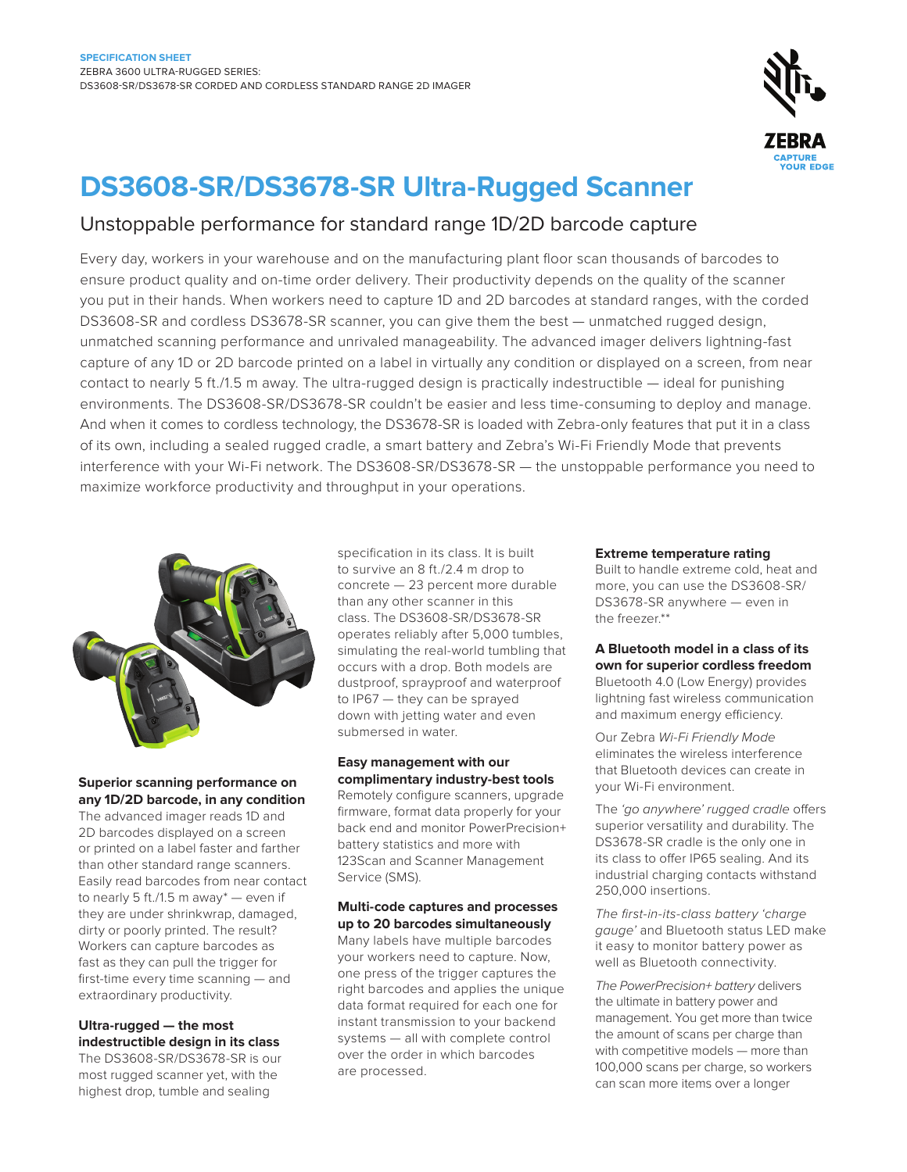

# **DS3608-SR/DS3678-SR Ultra-Rugged Scanner**

## Unstoppable performance for standard range 1D/2D barcode capture

Every day, workers in your warehouse and on the manufacturing plant floor scan thousands of barcodes to ensure product quality and on-time order delivery. Their productivity depends on the quality of the scanner you put in their hands. When workers need to capture 1D and 2D barcodes at standard ranges, with the corded DS3608-SR and cordless DS3678-SR scanner, you can give them the best — unmatched rugged design, unmatched scanning performance and unrivaled manageability. The advanced imager delivers lightning-fast capture of any 1D or 2D barcode printed on a label in virtually any condition or displayed on a screen, from near contact to nearly 5 ft./1.5 m away. The ultra-rugged design is practically indestructible — ideal for punishing environments. The DS3608-SR/DS3678-SR couldn't be easier and less time-consuming to deploy and manage. And when it comes to cordless technology, the DS3678-SR is loaded with Zebra-only features that put it in a class of its own, including a sealed rugged cradle, a smart battery and Zebra's Wi-Fi Friendly Mode that prevents interference with your Wi-Fi network. The DS3608-SR/DS3678-SR — the unstoppable performance you need to maximize workforce productivity and throughput in your operations.



**Superior scanning performance on any 1D/2D barcode, in any condition**

The advanced imager reads 1D and 2D barcodes displayed on a screen or printed on a label faster and farther than other standard range scanners. Easily read barcodes from near contact to nearly 5 ft./1.5 m away\* — even if they are under shrinkwrap, damaged, dirty or poorly printed. The result? Workers can capture barcodes as fast as they can pull the trigger for first-time every time scanning — and extraordinary productivity.

#### **Ultra-rugged — the most indestructible design in its class**

The DS3608-SR/DS3678-SR is our most rugged scanner yet, with the highest drop, tumble and sealing

specification in its class. It is built to survive an 8 ft./2.4 m drop to concrete — 23 percent more durable than any other scanner in this class. The DS3608-SR/DS3678-SR operates reliably after 5,000 tumbles, simulating the real-world tumbling that occurs with a drop. Both models are dustproof, sprayproof and waterproof to IP67 — they can be sprayed down with jetting water and even submersed in water.

#### **Easy management with our complimentary industry-best tools**

Remotely configure scanners, upgrade firmware, format data properly for your back end and monitor PowerPrecision+ battery statistics and more with 123Scan and Scanner Management Service (SMS).

#### **Multi-code captures and processes up to 20 barcodes simultaneously**

Many labels have multiple barcodes your workers need to capture. Now, one press of the trigger captures the right barcodes and applies the unique data format required for each one for instant transmission to your backend systems — all with complete control over the order in which barcodes are processed.

#### **Extreme temperature rating**

Built to handle extreme cold, heat and more, you can use the DS3608-SR/ DS3678-SR anywhere — even in the freezer.\*\*

### **A Bluetooth model in a class of its own for superior cordless freedom**

Bluetooth 4.0 (Low Energy) provides lightning fast wireless communication and maximum energy efficiency.

Our Zebra Wi-Fi Friendly Mode eliminates the wireless interference that Bluetooth devices can create in your Wi-Fi environment.

The 'go anywhere' rugged cradle offers superior versatility and durability. The DS3678-SR cradle is the only one in its class to offer IP65 sealing. And its industrial charging contacts withstand 250,000 insertions.

The first-in-its-class battery 'charge gauge' and Bluetooth status LED make it easy to monitor battery power as well as Bluetooth connectivity.

The PowerPrecision+ battery delivers the ultimate in battery power and management. You get more than twice the amount of scans per charge than with competitive models — more than 100,000 scans per charge, so workers can scan more items over a longer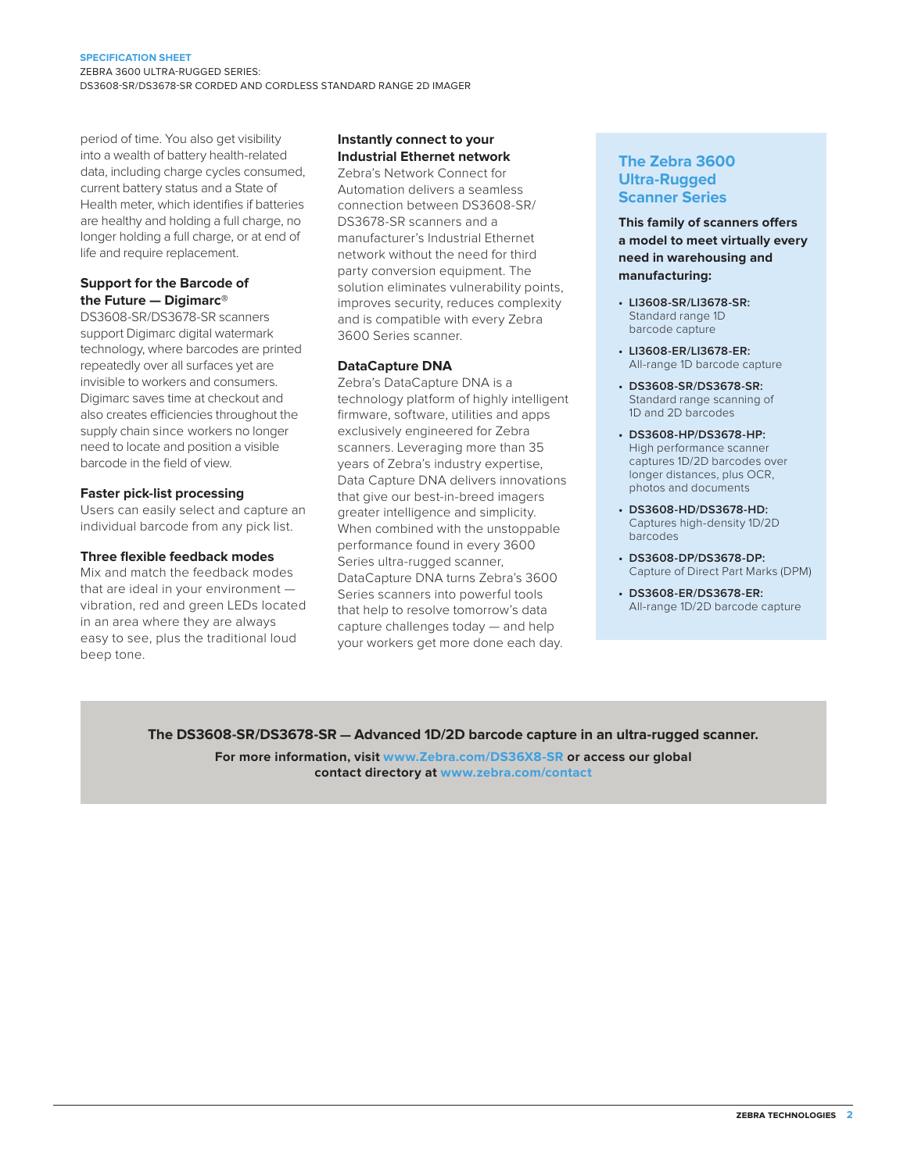#### **SPECIFICATION SHEET**

ZEBRA 3600 ULTRA-RUGGED SERIES: DS3608-SR/DS3678-SR CORDED AND CORDLESS STANDARD RANGE 2D IMAGER

period of time. You also get visibility into a wealth of battery health-related data, including charge cycles consumed, current battery status and a State of Health meter, which identifies if batteries are healthy and holding a full charge, no longer holding a full charge, or at end of life and require replacement.

#### **Support for the Barcode of the Future — Digimarc®**

DS3608-SR/DS3678-SR scanners support Digimarc digital watermark technology, where barcodes are printed repeatedly over all surfaces yet are invisible to workers and consumers. Digimarc saves time at checkout and also creates efficiencies throughout the supply chain since workers no longer need to locate and position a visible barcode in the field of view.

#### **Faster pick-list processing**

Users can easily select and capture an individual barcode from any pick list.

#### **Three flexible feedback modes**

Mix and match the feedback modes that are ideal in your environment vibration, red and green LEDs located in an area where they are always easy to see, plus the traditional loud beep tone.

#### **Instantly connect to your Industrial Ethernet network**

Zebra's Network Connect for Automation delivers a seamless connection between DS3608-SR/ DS3678-SR scanners and a manufacturer's Industrial Ethernet network without the need for third party conversion equipment. The solution eliminates vulnerability points, improves security, reduces complexity and is compatible with every Zebra 3600 Series scanner.

#### **DataCapture DNA**

Zebra's DataCapture DNA is a technology platform of highly intelligent firmware, software, utilities and apps exclusively engineered for Zebra scanners. Leveraging more than 35 years of Zebra's industry expertise, Data Capture DNA delivers innovations that give our best-in-breed imagers greater intelligence and simplicity. When combined with the unstoppable performance found in every 3600 Series ultra-rugged scanner, DataCapture DNA turns Zebra's 3600 Series scanners into powerful tools that help to resolve tomorrow's data capture challenges today — and help your workers get more done each day.

### **The Zebra 3600 Ultra-Rugged Scanner Series**

**This family of scanners offers a model to meet virtually every need in warehousing and manufacturing:**

- **• LI3608-SR/LI3678-SR:** Standard range 1D barcode capture
- **• LI3608-ER/LI3678-ER:** All-range 1D barcode capture
- **• DS3608-SR/DS3678-SR:** Standard range scanning of 1D and 2D barcodes
- **• DS3608-HP/DS3678-HP:** High performance scanner captures 1D/2D barcodes over longer distances, plus OCR, photos and documents
- **• DS3608-HD/DS3678-HD:** Captures high-density 1D/2D barcodes
- **• DS3608-DP/DS3678-DP:**  Capture of Direct Part Marks (DPM)
- **• DS3608-ER/DS3678-ER:** All-range 1D/2D barcode capture

#### **The DS3608-SR/DS3678-SR — Advanced 1D/2D barcode capture in an ultra-rugged scanner.**

**For more information, visit [www.Zebra.com/DS36X8-SR](http://www.zebra.com/ds36x8-sr) or access our global contact directory at [www.zebra.com/contact](http://www.zebra.com/contact)**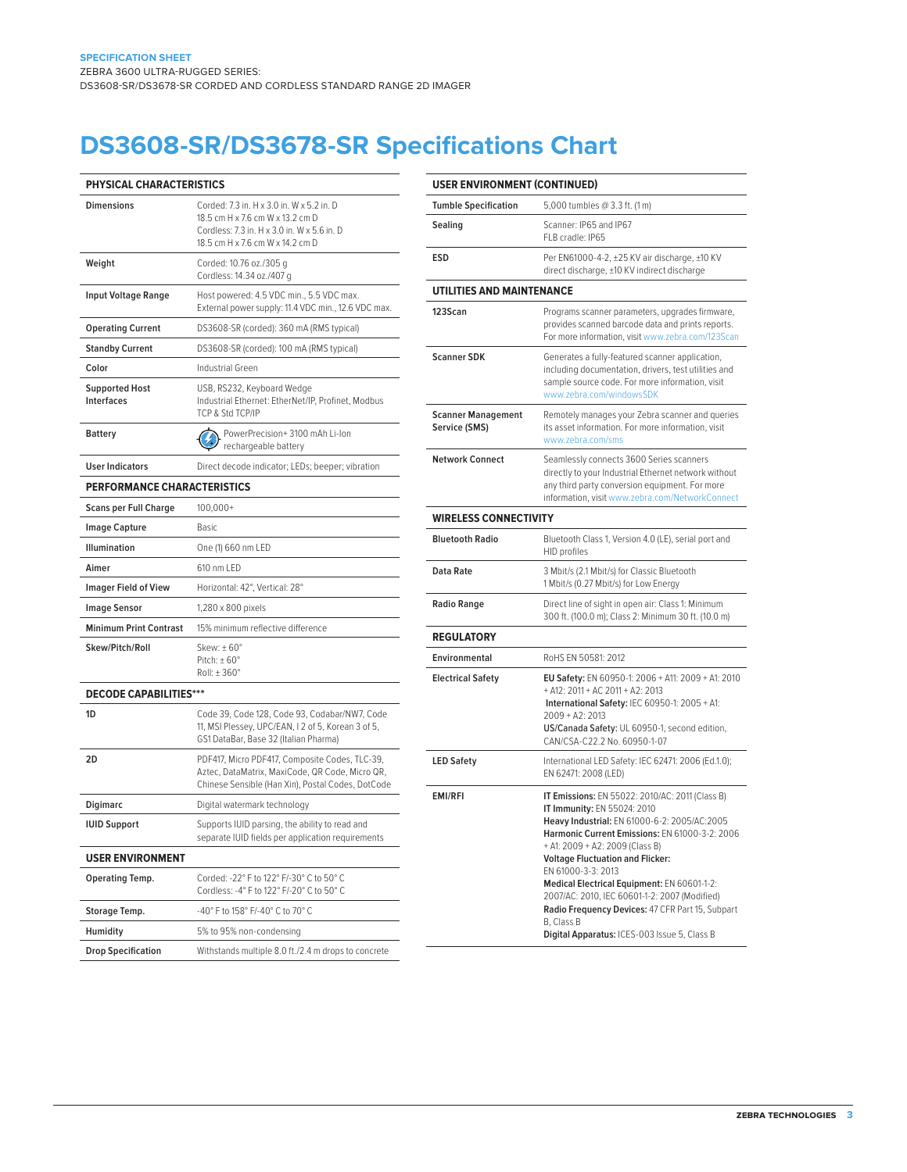# **DS3608-SR/DS3678-SR Specifications Chart**

l.

| PHYSICAL CHARACTERISTICS                   |                                                                                                                                                                  |  |  |
|--------------------------------------------|------------------------------------------------------------------------------------------------------------------------------------------------------------------|--|--|
| <b>Dimensions</b>                          | Corded: 7.3 in, H x 3.0 in, W x 5.2 in, D<br>18.5 cm H x 7.6 cm W x 13.2 cm D<br>Cordless: 7.3 in. H x 3.0 in. W x 5.6 in. D<br>18.5 cm H x 7.6 cm W x 14.2 cm D |  |  |
| Weight                                     | Corded: 10.76 oz./305 a<br>Cordless: 14.34 oz./407 g                                                                                                             |  |  |
| <b>Input Voltage Range</b>                 | Host powered: 4.5 VDC min., 5.5 VDC max.<br>External power supply: 11.4 VDC min., 12.6 VDC max.                                                                  |  |  |
| <b>Operating Current</b>                   | DS3608-SR (corded): 360 mA (RMS typical)                                                                                                                         |  |  |
| <b>Standby Current</b>                     | DS3608-SR (corded): 100 mA (RMS typical)                                                                                                                         |  |  |
| Color                                      | Industrial Green                                                                                                                                                 |  |  |
| <b>Supported Host</b><br><b>Interfaces</b> | USB, RS232, Keyboard Wedge<br>Industrial Ethernet: EtherNet/IP, Profinet, Modbus<br>TCP & Std TCP/IP                                                             |  |  |
| <b>Battery</b>                             | PowerPrecision+3100 mAh Li-Ion<br>rechargeable battery                                                                                                           |  |  |
| <b>User Indicators</b>                     | Direct decode indicator; LEDs; beeper; vibration                                                                                                                 |  |  |
| <b>PERFORMANCE CHARACTERISTICS</b>         |                                                                                                                                                                  |  |  |
| <b>Scans per Full Charge</b>               | $100,000+$                                                                                                                                                       |  |  |
| <b>Image Capture</b>                       | Basic                                                                                                                                                            |  |  |
| <b>Illumination</b>                        | One (1) 660 nm LED                                                                                                                                               |  |  |
| Aimer                                      | 610 nm LED                                                                                                                                                       |  |  |
| <b>Imager Field of View</b>                | Horizontal: 42°, Vertical: 28°                                                                                                                                   |  |  |
| <b>Image Sensor</b>                        | 1,280 x 800 pixels                                                                                                                                               |  |  |
| <b>Minimum Print Contrast</b>              | 15% minimum reflective difference                                                                                                                                |  |  |
| Skew/Pitch/Roll                            | Skew: $\pm 60^\circ$<br>Pitch: $\pm 60^\circ$<br>Roll: ±360°                                                                                                     |  |  |
| <b>DECODE CAPABILITIES***</b>              |                                                                                                                                                                  |  |  |
| 1 <sub>D</sub>                             | Code 39, Code 128, Code 93, Codabar/NW7, Code<br>11, MSI Plessey, UPC/EAN, I 2 of 5, Korean 3 of 5,<br>GS1 DataBar, Base 32 (Italian Pharma)                     |  |  |
| 2D                                         | PDF417, Micro PDF417, Composite Codes, TLC-39,<br>Aztec, DataMatrix, MaxiCode, QR Code, Micro QR,<br>Chinese Sensible (Han Xin), Postal Codes, DotCode           |  |  |
| Digimarc                                   | Digital watermark technology                                                                                                                                     |  |  |
| <b>IUID Support</b>                        | Supports IUID parsing, the ability to read and<br>separate IUID fields per application requirements                                                              |  |  |
| <b>USER ENVIRONMENT</b>                    |                                                                                                                                                                  |  |  |
| Operating Temp.                            | Corded: -22° F to 122° F/-30° C to 50° C<br>Cordless: -4° F to 122° F/-20° C to 50° C                                                                            |  |  |
| Storage Temp.                              | -40° F to 158° F/-40° C to 70° C                                                                                                                                 |  |  |
| Humidity                                   | 5% to 95% non-condensing                                                                                                                                         |  |  |
| <b>Drop Specification</b>                  | Withstands multiple 8.0 ft./2.4 m drops to concrete                                                                                                              |  |  |

| <b>USER ENVIRONMENT (CONTINUED)</b>        |                                                                                                                                                                                                                                                                                                                                                                                                                                                                                                        |  |  |  |
|--------------------------------------------|--------------------------------------------------------------------------------------------------------------------------------------------------------------------------------------------------------------------------------------------------------------------------------------------------------------------------------------------------------------------------------------------------------------------------------------------------------------------------------------------------------|--|--|--|
| <b>Tumble Specification</b>                | 5,000 tumbles @ 3.3 ft. (1 m)                                                                                                                                                                                                                                                                                                                                                                                                                                                                          |  |  |  |
| Sealing                                    | Scanner: IP65 and IP67<br>FLB cradle: IP65                                                                                                                                                                                                                                                                                                                                                                                                                                                             |  |  |  |
| ESD                                        | Per EN61000-4-2, ±25 KV air discharge, ±10 KV<br>direct discharge, ±10 KV indirect discharge                                                                                                                                                                                                                                                                                                                                                                                                           |  |  |  |
| UTILITIES AND MAINTENANCE                  |                                                                                                                                                                                                                                                                                                                                                                                                                                                                                                        |  |  |  |
| 123Scan                                    | Programs scanner parameters, upgrades firmware,<br>provides scanned barcode data and prints reports.<br>For more information, visit www.zebra.com/123Scan                                                                                                                                                                                                                                                                                                                                              |  |  |  |
| <b>Scanner SDK</b>                         | Generates a fully-featured scanner application,<br>including documentation, drivers, test utilities and<br>sample source code. For more information, visit<br>www.zebra.com/windowsSDK                                                                                                                                                                                                                                                                                                                 |  |  |  |
| <b>Scanner Management</b><br>Service (SMS) | Remotely manages your Zebra scanner and queries<br>its asset information. For more information, visit<br>www.zebra.com/sms                                                                                                                                                                                                                                                                                                                                                                             |  |  |  |
| <b>Network Connect</b>                     | Seamlessly connects 3600 Series scanners<br>directly to your Industrial Ethernet network without<br>any third party conversion equipment. For more<br>information, visit www.zebra.com/NetworkConnect                                                                                                                                                                                                                                                                                                  |  |  |  |
| <b>WIRELESS CONNECTIVITY</b>               |                                                                                                                                                                                                                                                                                                                                                                                                                                                                                                        |  |  |  |
| <b>Bluetooth Radio</b>                     | Bluetooth Class 1, Version 4.0 (LE), serial port and<br><b>HID profiles</b>                                                                                                                                                                                                                                                                                                                                                                                                                            |  |  |  |
| Data Rate                                  | 3 Mbit/s (2.1 Mbit/s) for Classic Bluetooth<br>1 Mbit/s (0.27 Mbit/s) for Low Energy                                                                                                                                                                                                                                                                                                                                                                                                                   |  |  |  |
| <b>Radio Range</b>                         | Direct line of sight in open air: Class 1: Minimum<br>300 ft. (100.0 m); Class 2: Minimum 30 ft. (10.0 m)                                                                                                                                                                                                                                                                                                                                                                                              |  |  |  |
| <b>REGULATORY</b>                          |                                                                                                                                                                                                                                                                                                                                                                                                                                                                                                        |  |  |  |
| Environmental                              | RoHS EN 50581: 2012                                                                                                                                                                                                                                                                                                                                                                                                                                                                                    |  |  |  |
| <b>Electrical Safety</b>                   | EU Safety: EN 60950-1: 2006 + A11: 2009 + A1: 2010<br>+ A12: 2011 + AC 2011 + A2: 2013<br><b>International Safety: IEC 60950-1: 2005 + A1:</b><br>$2009 + A2: 2013$<br>US/Canada Safety: UL 60950-1, second edition,<br>CAN/CSA-C22.2 No. 60950-1-07                                                                                                                                                                                                                                                   |  |  |  |
| <b>LED Safety</b>                          | International LED Safety: IEC 62471: 2006 (Ed.1.0);<br>EN 62471: 2008 (LED)                                                                                                                                                                                                                                                                                                                                                                                                                            |  |  |  |
| <b>EMI/RFI</b>                             | IT Emissions: EN 55022: 2010/AC: 2011 (Class B)<br>IT Immunity: EN 55024: 2010<br>Heavy Industrial: EN 61000-6-2: 2005/AC:2005<br>Harmonic Current Emissions: EN 61000-3-2: 2006<br>+ A1: 2009 + A2: 2009 (Class B)<br><b>Voltage Fluctuation and Flicker:</b><br>EN 61000-3-3: 2013<br>Medical Electrical Equipment: EN 60601-1-2:<br>2007/AC: 2010, IEC 60601-1-2: 2007 (Modified)<br>Radio Frequency Devices: 47 CFR Part 15, Subpart<br>B, Class B<br>Digital Apparatus: ICES-003 Issue 5, Class B |  |  |  |